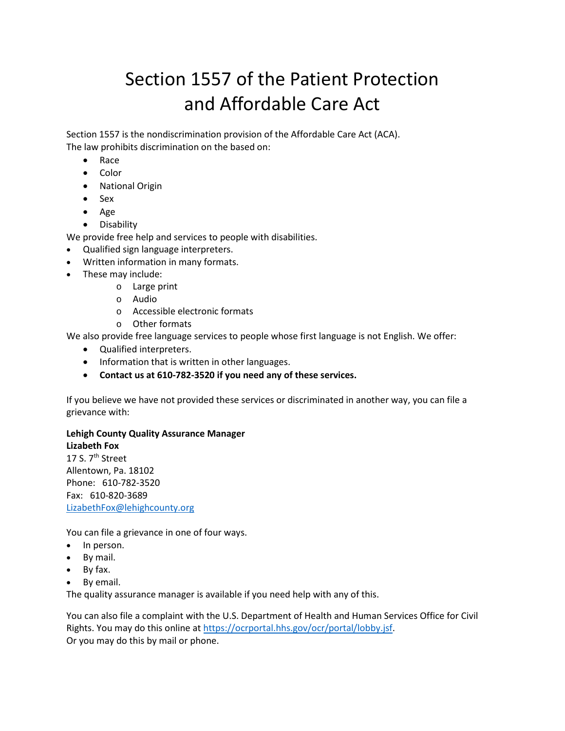# Section 1557 of the Patient Protection and Affordable Care Act

Section 1557 is the nondiscrimination provision of the Affordable Care Act (ACA). The law prohibits discrimination on the based on:

- Race
- Color
- National Origin
- Sex
- Age
- Disability

We provide free help and services to people with disabilities.

- Qualified sign language interpreters.
- Written information in many formats.
- These may include:
	- o Large print
	- o Audio
	- o Accessible electronic formats
	- o Other formats

We also provide free language services to people whose first language is not English. We offer:

- Qualified interpreters.
- Information that is written in other languages.
- **Contact us at 610-782-3520 if you need any of these services.**

If you believe we have not provided these services or discriminated in another way, you can file a grievance with:

# **Lehigh County Quality Assurance Manager**

**Lizabeth Fox** 17 S. 7<sup>th</sup> Street Allentown, Pa. 18102 Phone: 610-782-3520 Fax: 610-820-3689 [LizabethFox@lehighcounty.org](mailto:LizabethFox@lehighcounty.org)

You can file a grievance in one of four ways.

- In person.
- By mail.
- By fax.
- By email.

The quality assurance manager is available if you need help with any of this.

You can also file a complaint with the U.S. Department of Health and Human Services Office for Civil Rights. You may do this online at [https://ocrportal.hhs.gov/ocr/portal/lobby.jsf.](https://ocrportal.hhs.gov/ocr/portal/lobby.jsf) Or you may do this by mail or phone.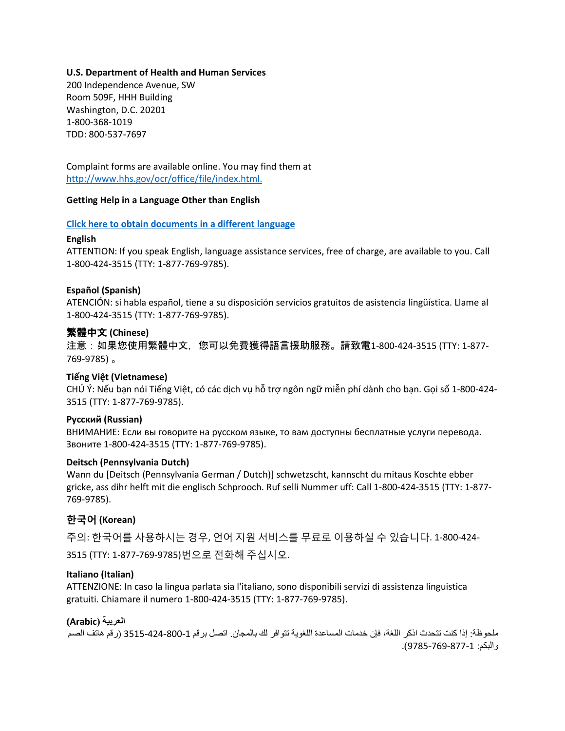## **U.S. Department of Health and Human Services**

200 Independence Avenue, SW Room 509F, HHH Building Washington, D.C. 20201 1-800-368-1019 TDD: 800-537-7697

Complaint forms are available online. You may find them at [http://www.hhs.gov/ocr/office/file/index.html.](http://www.hhs.gov/ocr/office/file/index.html)

## **Getting Help in a Language Other than English**

## **[Click here to obtain documents in a different language](https://www.hhs.gov/civil-rights/for-individuals/section-1557/translated-resources/)**

## **English**

ATTENTION: If you speak English, language assistance services, free of charge, are available to you. Call 1-800-424-3515 (TTY: 1-877-769-9785).

## **Español (Spanish)**

ATENCIÓN: si habla español, tiene a su disposición servicios gratuitos de asistencia lingüística. Llame al 1-800-424-3515 (TTY: 1-877-769-9785).

## 繁體中文 **(Chinese)**

注意:如果您使用繁體中文,您可以免費獲得語言援助服務。請致電1-800-424-3515 (TTY: 1-877- 769-9785) 。

## **Tiếng Việt (Vietnamese)**

CHÚ Ý: Nếu bạn nói Tiếng Việt, có các dịch vụ hỗ trợ ngôn ngữ miễn phí dành cho bạn. Gọi số 1-800-424- 3515 (TTY: 1-877-769-9785).

## **Русский (Russian)**

ВНИМАНИЕ: Если вы говорите на русском языке, то вам доступны бесплатные услуги перевода. Звоните 1-800-424-3515 (TTY: 1-877-769-9785).

## **Deitsch (Pennsylvania Dutch)**

Wann du [Deitsch (Pennsylvania German / Dutch)] schwetzscht, kannscht du mitaus Koschte ebber gricke, ass dihr helft mit die englisch Schprooch. Ruf selli Nummer uff: Call 1-800-424-3515 (TTY: 1-877- 769-9785).

# **한국어 (Korean)**

주의: 한국어를 사용하시는 경우, 언어 지원 서비스를 무료로 이용하실 수 있습니다. 1-800-424- 3515 (TTY: 1-877-769-9785)번으로 전화해 주십시오.

## **Italiano (Italian)**

ATTENZIONE: In caso la lingua parlata sia l'italiano, sono disponibili servizi di assistenza linguistica gratuiti. Chiamare il numero 1-800-424-3515 (TTY: 1-877-769-9785).

## **العربیة (Arabic(**

ملحوظة: إذا كنت تتحدث اذكر اللغة، فإن خدمات المساعدة اللغویة تتوافر لك بالمجان. اتصل برقم 3515-424-800-1 (رقم ھاتف الصم والبكم: 9785-769-877-1).